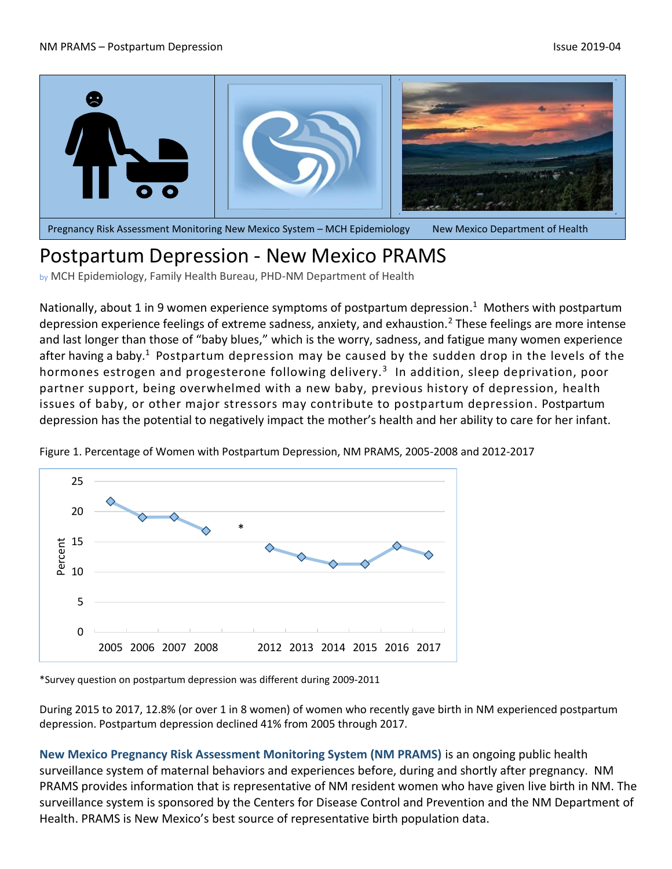

## Postpartum Depression - New Mexico PRAMS

by MCH Epidemiology, Family Health Bureau, PHD-NM Department of Health

Nationally, about 1 in 9 women experience symptoms of postpartum depression.<sup>1</sup> Mothers with postpartum depression experience feelings of extreme sadness, anxiety, and exhaustion.<sup>2</sup> These feelings are more intense and last longer than those of "baby blues," which is the worry, sadness, and fatigue many women experience after having a baby. $^{\rm 1}$  Postpartum depression may be caused by the sudden drop in the levels of the hormones estrogen and progesterone following delivery.<sup>3</sup> In addition, sleep deprivation, poor partner support, being overwhelmed with a new baby, previous history of depression, health issues of baby, or other major stressors may contribute to postpartum depression. Postpartum depression has the potential to negatively impact the mother's health and her ability to care for her infant.



Figure 1. Percentage of Women with Postpartum Depression, NM PRAMS, 2005-2008 and 2012-2017

\*Survey question on postpartum depression was different during 2009-2011

During 2015 to 2017, 12.8% (or over 1 in 8 women) of women who recently gave birth in NM experienced postpartum depression. Postpartum depression declined 41% from 2005 through 2017.

**New Mexico Pregnancy Risk Assessment Monitoring System (NM PRAMS)** is an ongoing public health surveillance system of maternal behaviors and experiences before, during and shortly after pregnancy. NM PRAMS provides information that is representative of NM resident women who have given live birth in NM. The surveillance system is sponsored by the Centers for Disease Control and Prevention and the NM Department of Health. PRAMS is New Mexico's best source of representative birth population data.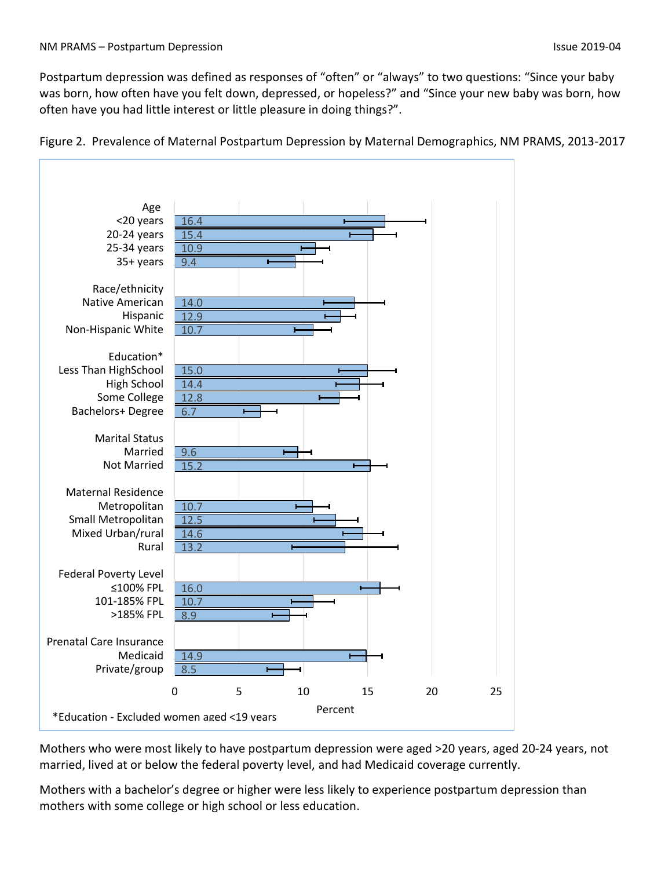Postpartum depression was defined as responses of "often" or "always" to two questions: "Since your baby was born, how often have you felt down, depressed, or hopeless?" and "Since your new baby was born, how often have you had little interest or little pleasure in doing things?".



Figure 2. Prevalence of Maternal Postpartum Depression by Maternal Demographics, NM PRAMS, 2013-2017

Mothers who were most likely to have postpartum depression were aged >20 years, aged 20-24 years, not married, lived at or below the federal poverty level, and had Medicaid coverage currently.

Mothers with a bachelor's degree or higher were less likely to experience postpartum depression than mothers with some college or high school or less education.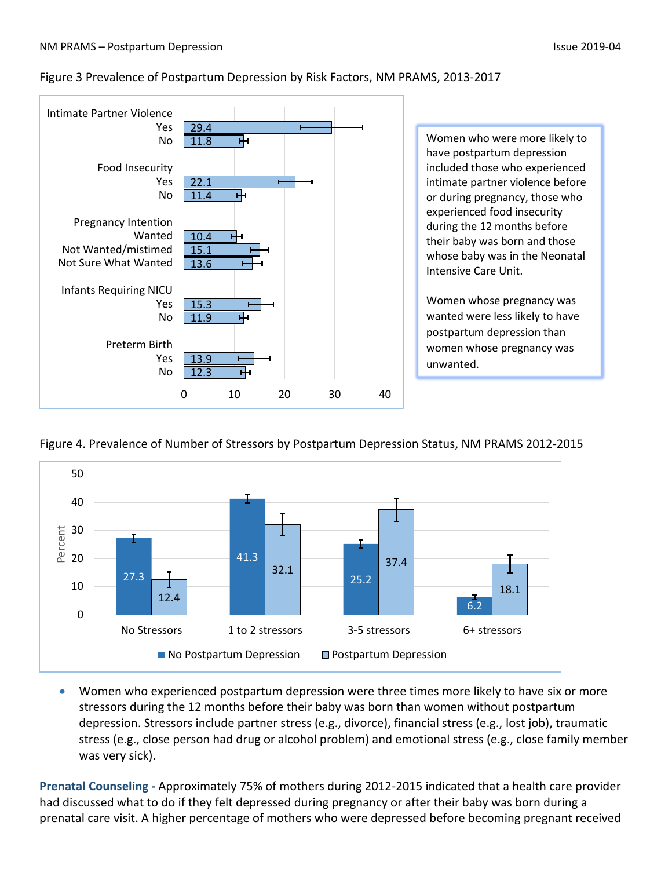## Figure 3 Prevalence of Postpartum Depression by Risk Factors, NM PRAMS, 2013-2017



## Figure 4. Prevalence of Number of Stressors by Postpartum Depression Status, NM PRAMS 2012-2015



• Women who experienced postpartum depression were three times more likely to have six or more stressors during the 12 months before their baby was born than women without postpartum depression. Stressors include partner stress (e.g., divorce), financial stress (e.g., lost job), traumatic stress (e.g., close person had drug or alcohol problem) and emotional stress (e.g., close family member was very sick).

**Prenatal Counseling -** Approximately 75% of mothers during 2012-2015 indicated that a health care provider had discussed what to do if they felt depressed during pregnancy or after their baby was born during a prenatal care visit. A higher percentage of mothers who were depressed before becoming pregnant received